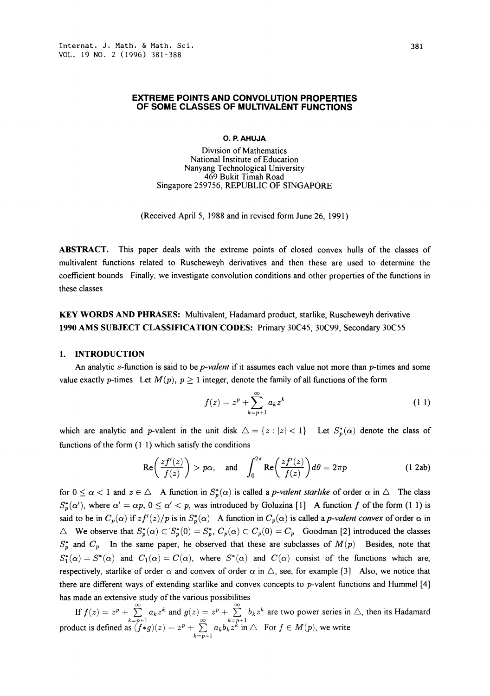### EXTREME POINTS AND CONVOLUTION PROPERTIES OF SOME CLASSES OF MULTIVALENT FUNCTIONS

### O. R AHUJA

Diwsion of Mathematics National Institute of Education Nanyang Technological University 469 Bukit Timah Road Singapore 259756, REPUBLIC OF SINGAPORE

(Received April 5, 1988 and in revised form June 26, 1991)

ABSTRACT. This paper deals with the extreme points of closed convex hulls of the classes of multivalent functions related to Ruscheweyh derivatives and then these are used to determine the coefficient bounds Finally, we investigate convolution conditions and other properties of the functions in these classes

KEY WORDS AND PHRASES: Multivalent, Hadamard product, starlike, Ruscheweyh derivative <sup>1990</sup> AMS SUBJECT CLASSIFICATION'CODES: Primary 30C45, 30C99, Secondary 30C55

### 1. INTRODUCTION

An analytic s-function is said to be *p-valent* if it assumes each value not more than *p*-times and some value exactly p-times Let  $M(p)$ ,  $p \ge 1$  integer, denote the family of all functions of the form

$$
f(z) = z^{p} + \sum_{k=p+1}^{\infty} a_{k} z^{k}
$$
 (11)

which are analytic and p-valent in the unit disk  $\Delta = \{z : |z| < 1\}$  Let  $S_p^*(\alpha)$  denote the class of functions of the form (1 1) which satisfy the conditions

$$
\operatorname{Re}\left(\frac{zf'(z)}{f(z)}\right) > p\alpha, \quad \text{and} \quad \int_0^{2\pi} \operatorname{Re}\left(\frac{zf'(z)}{f(z)}\right) d\theta = 2\pi p \tag{1.2ab}
$$

for  $0 \le \alpha < 1$  and  $z \in \triangle$  A function in  $S_p^*(\alpha)$  is called a *p-valent starlike* of order  $\alpha$  in  $\triangle$  The class  $S_p^*(\alpha')$ , where  $\alpha' = \alpha p$ ,  $0 \le \alpha' < p$ , was introduced by Goluzina [1] A function f of the form (1 1) is said to be in  $C_p(\alpha)$  if  $zf'(z)/p$  is in  $S_p^*(\alpha)$  A function in  $C_p(\alpha)$  is called a p-valent convex of order  $\alpha$  in  $\Delta$  We observe that  $S_p^*(\alpha) \subset S_p^*(0) = S_p^*$ ,  $C_p(\alpha) \subset C_p(0) = C_p$  Goodman [2] introduced the classes  $S_p^*$  and  $C_p$  In the same paper, he observed that these are subclasses of  $M(p)$  Besides, note that  $S_1^*(\alpha) = S^*(\alpha)$  and  $C_1(\alpha) = C(\alpha)$ , where  $S^*(\alpha)$  and  $C(\alpha)$  consist of the functions which are, respectively, starlike of order  $\alpha$  and convex of order  $\alpha$  in  $\triangle$ , see, for example [3] Also, we notice that there are different ways of extending starlike and convex concepts to p-valent functions and Hummel [4] has made an extensive study of the various possibilities

If  $f(z) = z^p + \sum_{k=p+1} a_k z^k$  and  $g(z) = z^p + \sum_{k=p+1} b_k z^k$  are two power series in  $\triangle$ , then its Hadamard product is defined as  $(f*g)(z) = z^p + \sum_{k=p+1}^{\infty} a_k b_k z^k$  in  $\triangle$  For  $f \in M(p)$ , we write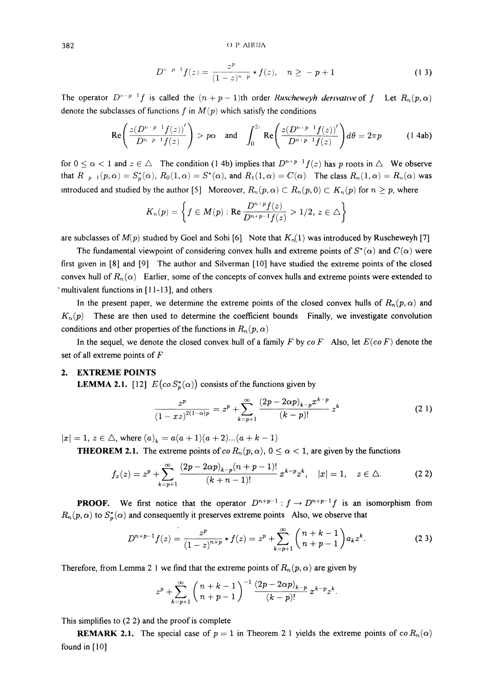382 (OP AHUJA

$$
D^{n-p-1}f(z) = \frac{z^p}{(1-z)^{n-p}} * f(z), \quad n \ge -p+1
$$
 (13)

The operator  $D^{n+p-1}f$  is called the  $(n+p-1)$ th order Ruscheweyh derivative of f Let  $R_n(p,\alpha)$ denote the subclasses of functions f in  $M(p)$  which satisfy the conditions

$$
\text{Re}\left(\frac{z(D^{n+p-1}f(z))'}{D^{n-p-1}f(z)}\right) > p\alpha \quad \text{and} \quad \int_0^{2i} \text{Re}\left(\frac{z(D^{n+p-1}f(z))'}{D^{n+p-1}f(z)}\right) d\theta = 2\pi p \tag{1.4ab}
$$

for  $0 \le \alpha < 1$  and  $z \in \triangle$  The condition (1 4b) implies that  $D^{n+p-1}f(z)$  has p roots in  $\triangle$  We observe that  $R_{p-1}(p, \alpha) = S_p^*(\alpha)$ ,  $R_0(1, \alpha) = S^*(\alpha)$ , and  $R_1(1, \alpha) = C(\alpha)$  The class  $R_n(1, \alpha) = R_n(\alpha)$  was introduced and studied by the author [5] Moreover,  $R_n(p, \alpha) \subset R_n(p, 0) \subset K_n(p)$  for  $n \geq p$ , where

$$
K_n(p) = \left\{ f \in M(p) : \text{Re} \frac{D^{n+p} f(z)}{D^{n+p-1} f(z)} > 1/2, \, z \in \triangle \right\}
$$

are subclasses of  $M(p)$  studied by Goel and Sohi [6] Note that  $K_n(1)$  was introduced by Ruscheweyh [7]

The fundamental viewpoint of considering convex hulls and extreme points of  $S^*(\alpha)$  and  $C(\alpha)$  were first given in [8] and [9] The author and Silverman [10] have studied the extreme points of the closed convex hull of  $R_n(\alpha)$  Earlier, some of the concepts of convex hulls and extreme points were extended to multivalent functions in [11-13], and others

In the present paper, we determine the extreme points of the closed convex hulls of  $R_n(p, \alpha)$  and  $K_n(p)$  These are then used to determine the coefficient bounds Finally, we investigate convolution conditions and other properties of the functions in  $R_n(p, \alpha)$ 

In the sequel, we denote the closed convex hull of a family F by  $co F$  Also, let  $E(co F)$  denote the set of all extreme points of F

### 2. EXTREME POINTS

**LEMMA 2.1.** [12]  $E\left(\cos S_v^*(\alpha)\right)$  consists of the functions given by

$$
\frac{z^p}{(1-xz)^{2(1-\alpha)p}} = z^p + \sum_{k=p+1}^{\infty} \frac{(2p-2\alpha p)_{k-p} x^{k-p}}{(k-p)!} z^k
$$
 (21)

 $|x| = 1, z \in \triangle$ , where  $(a)_k = a(a + 1)(a + 2)...(a + k - 1)$ 

**THEOREM 2.1.** The extreme points of  $\text{co } R_n(p, \alpha)$ ,  $0 \leq \alpha < 1$ , are given by the functions

$$
f_x(z) = z^p + \sum_{k=p+1}^{\infty} \frac{(2p - 2\alpha p)_{k-p} (n+p-1)!}{(k+n-1)!} x^{k-p} z^k, \quad |x| = 1, \quad z \in \triangle.
$$
 (2.2)

**PROOF.** We first notice that the operator  $D^{n+p-1}: f \to D^{n+p-1}f$  is an isomorphism from  $R_n(p, \alpha)$  to  $S_p^*(\alpha)$  and consequently it preserves extreme points Also, we observe that

$$
D^{n+p-1}f(z) = \frac{z^p}{(1-z)^{n+p}} * f(z) = z^p + \sum_{k=p+1}^{\infty} {n+k-1 \choose n+p-1} a_k z^k.
$$
 (2.3)

Therefore, from Lemma 2 1 we find that the extreme points of  $R_n(p, \alpha)$  are given by

$$
z^{p} + \sum_{k=p+1}^{\infty} \left(\frac{n+k-1}{n+p-1}\right)^{-1} \frac{(2p-2\alpha p)_{k-p}}{(k-p)!} x^{k-p} z^{k}.
$$

This simplifies to (2 2) and the proof is complete

**REMARK 2.1.** The special case of  $p = 1$  in Theorem 2 1 yields the extreme points of  $\alpha R_n(\alpha)$ found in  $[10]$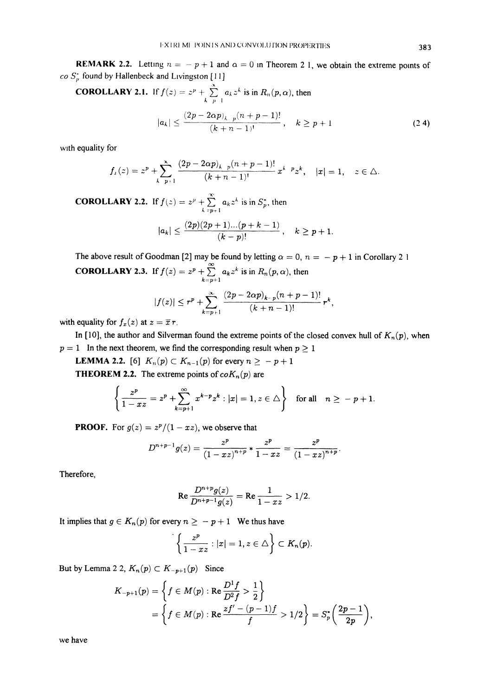**REMARK 2.2.** Letting  $n = -p + 1$  and  $\alpha = 0$  in Theorem 2 1, we obtain the extreme points of co  $S_p^*$  found by Hallenbeck and Livingston [11]

**COROLLARY 2.1.** If 
$$
f(z) = z^p + \sum_{k=p-1}^{\infty} a_k z^k
$$
 is in  $R_n(p, \alpha)$ , then  

$$
|a_k| \le \frac{(2p - 2\alpha p)_k}{(k+n-1)!}, \quad k \ge p+1
$$
 (2.4)

with equality for

$$
f_{\mu}(z) = z^{p} + \sum_{k=p+1}^{\infty} \frac{(2p - 2\alpha p)_{k-p}(n+p-1)!}{(k+n-1)!} x^{k-p} z^{k}, \quad |x| = 1, \quad z \in \Delta.
$$

**COROLLARY 2.2.** If  $f(z) = z^p + z^q$  $\sum_{p=1}^{\infty} a_k z^k$  is in  $S_p^*$ , then

$$
|a_k| \leq \frac{(2p)(2p+1)...(p+k-1)}{(k-p)!} \,, \quad k \geq p+1.
$$

The above result of Goodman [2] may be found by letting  $\alpha = 0$ ,  $n = -p + 1$  in Corollary 2 1 **COROLLARY 2.3.** If  $f(z) = z^p + \sum_{k=p+1}^{\infty} a_k z^k$  is in  $R_n(p, \alpha)$ , then

$$
|f(z)|\le r^p+\sum_{k=p+1}^\infty\frac{(2p-2\alpha p)_{k-p}(n+p-1)!}{(k+n-1)!}\,r^k,
$$

with equality for  $f_x(z)$  at  $z = \overline{x} r$ .

In [10], the author and Silverman found the extreme points of the closed convex hull of  $K_n(p)$ , when  $p = 1$  In the next theorem, we find the corresponding result when  $p \ge 1$ 

**LEMMA 2.2.** [6]  $K_n(p) \subset K_{n-1}(p)$  for every  $n \ge -p+1$ **THEOREM 2.2.** The extreme points of  $coK_n(p)$  are

**19.14.1** The extreme points of 
$$
coR_n(p)
$$
 are  
\n
$$
\left\{\frac{z^p}{1 - xz} = z^p + \sum_{k=p+1}^{\infty} x^{k-p} z^k : |x| = 1, z \in \triangle \right\} \text{ for all } n \ge -p+1.
$$

**PROOF.** For  $g(z) = \frac{z^p}{1 - xz}$ , we observe that

$$
D^{n+p-1}g(z)=\frac{z^p}{(1-xz)^{n+p}}*\frac{z^p}{1-xz}=\frac{z^p}{(1-xz)^{n+p}}.
$$

Therefore,

Re 
$$
\frac{D^{n+p}g(z)}{D^{n+p-1}g(z)}
$$
 = Re  $\frac{1}{1-xz}$  > 1/2.

It implies that  $g \in K_n(p)$  for every  $n \ge -p+1$  We thus have

$$
\left\{\frac{z^p}{1-xz}: |x|=1, z\in \triangle\right\}\subset K_n(p).
$$

But by Lemma 2 2,  $K_n(p) \subset K_{-p+1}(p)$  Since

$$
K_{-p+1}(p) = \left\{ f \in M(p) : \text{Re} \frac{D^1 f}{D^2 f} > \frac{1}{2} \right\}
$$
  
=  $\left\{ f \in M(p) : \text{Re} \frac{zf' - (p-1)f}{f} > 1/2 \right\} = S_p^* \left( \frac{2p-1}{2p} \right),$ 

we have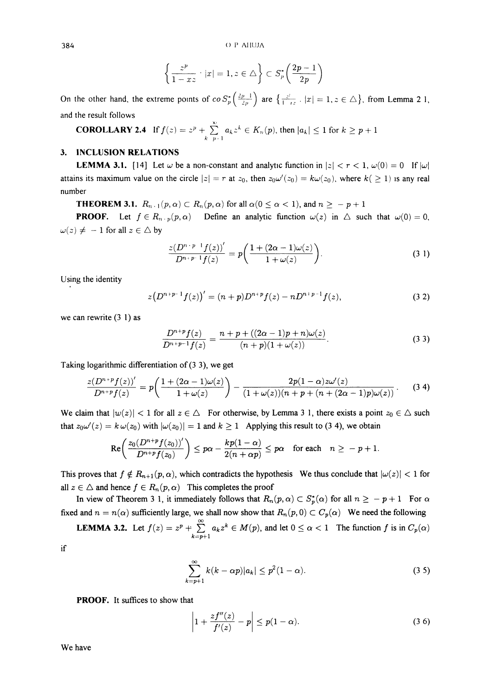$384$  () P AHUJA

$$
\left\{\frac{z^p}{1-xz} \cdot |x| = 1, z \in \triangle\right\} \subset S_p^* \left(\frac{2p-1}{2p}\right)
$$

On the other hand, the extreme points of  $\cos\frac{\pi}{p} \left( \frac{2p-1}{2p} \right)$  are  $\left\{ \frac{z^i}{1-z^i} : |x| = 1, z \in \triangle \right\}$ , from Lemma 21 and the result follows

**COROLLARY 2.4** If 
$$
f(z) = z^p + \sum_{k=p+1}^{\infty} a_k z^k \in K_n(p)
$$
, then  $|a_k| \le 1$  for  $k \ge p+1$ 

## 3. INCLUSION RELATIONS

**LEMMA 3.1.** [14] Let  $\omega$  be a non-constant and analytic function in  $|z| < r < 1$ ,  $\omega(0) = 0$  If  $|\omega|$ attains its maximum value on the circle  $|z| = r$  at  $z_0$ , then  $z_0\omega'(z_0) = k\omega(z_0)$ , where  $k( \geq 1)$  is any real number

**THEOREM 3.1.**  $R_{n+1}(p,\alpha) \subset R_n(p,\alpha)$  for all  $\alpha(0 \leq \alpha < 1)$ , and  $n \geq -p+1$ 

**PROOF.** Let  $f \in R_{n+p}(p, \alpha)$  Define an analytic function  $\omega(z)$  in  $\triangle$  such that  $\omega(0) = 0$ ,  $\omega(z) \neq -1$  for all  $z \in \triangle$  by

$$
\frac{z(D^{n+p-1}f(z))'}{D^{n+p-1}f(z)} = p\bigg(\frac{1+(2\alpha-1)\omega(z)}{1+\omega(z)}\bigg).
$$
\n(3.1)

Using the identity

$$
z(D^{n+p-1}f(z))' = (n+p)D^{n+p}f(z) - nD^{n+p-1}f(z),
$$
\n(3.2)

we can rewrite  $(3\ 1)$  as

$$
\frac{D^{n+p}f(z)}{D^{n+p-1}f(z)} = \frac{n+p + ((2\alpha - 1)p + n)\omega(z)}{(n+p)(1+\omega(z))}.
$$
\n(3.3)

Taking logarithmic differentiation of (3 3), we get

$$
\frac{z(D^{n+p}f(z))'}{D^{n+p}f(z)} = p\left(\frac{1+(2\alpha-1)\omega(z)}{1+\omega(z)}\right) - \frac{2p(1-\alpha)z\omega'(z)}{(1+\omega(z))(n+p+(n+(2\alpha-1)p)\omega(z))}.
$$
 (3.4)

We claim that  $|w(z)| < 1$  for all  $z \in \triangle$ . For otherwise, by Lemma 3 1, there exists a point  $z_0 \in \triangle$  such that  $z_0\omega'(z) = k\omega(z_0)$  with  $|\omega(z_0)| = 1$  and  $k \ge 1$  Applying this result to (3 4), we obtain

$$
\mathrm{Re}\bigg(\frac{z_0(D^{n+p}f(z_0))'}{D^{n+p}f(z_0)}\bigg) \leq p\alpha - \frac{kp(1-\alpha)}{2(n+\alpha p)} \leq p\alpha \quad \text{for each} \quad n \geq -p+1.
$$

This proves that  $f \notin R_{n+1}(p, \alpha)$ , which contradicts the hypothesis We thus conclude that  $|\omega(z)| < 1$  for all  $z \in \triangle$  and hence  $f \in R_n(p, \alpha)$ . This completes the proof

In view of Theorem 3 1, it immediately follows that  $R_n(p,\alpha) \subset S_p^*(\alpha)$  for all  $n \geq -p+1$  For  $\alpha$ fixed and  $n = n(\alpha)$  sufficiently large, we shall now show that  $R_n(p, 0) \subset C_p(\alpha)$  We need the following

**LEMMA 3.2.** Let  $f(z) = z^p + \sum_{k=p+1}^{\infty} a_k z^k \in M(p)$ , and let  $0 \le \alpha < 1$  The function f is in  $C_p(\alpha)$ 

if

$$
\sum_{k=p+1}^{\infty} k(k-\alpha p)|a_k| \le p^2(1-\alpha).
$$
 (3.5)

PROOF. It suffices to show that

$$
\left|1+\frac{zf''(z)}{f'(z)}-p\right|\leq p(1-\alpha).
$$
\n(3.6)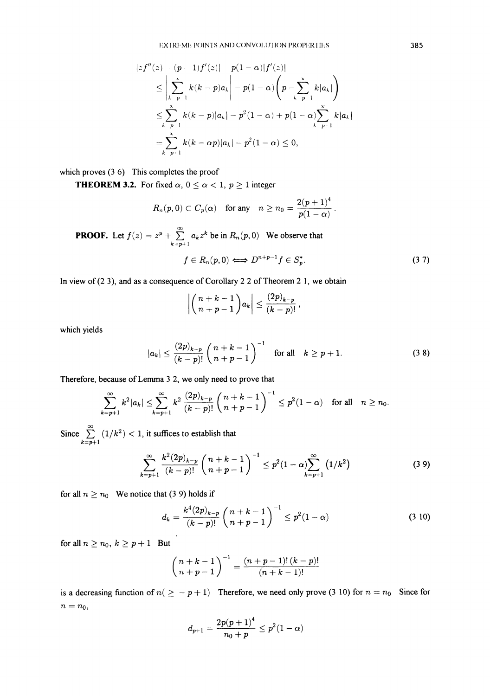$$
|zf''(z) - (p-1)f'(z)| - p(1-\alpha)|f'(z)|
$$
  
\n
$$
\leq \left| \sum_{k=p-1}^{x} k(k-p)a_k \right| - p(1-\alpha) \left( p - \sum_{k=p-1}^{x} k|a_k| \right)
$$
  
\n
$$
\leq \sum_{k=p-1}^{x} k(k-p)|a_k| - p^2(1-\alpha) + p(1-\alpha) \sum_{k=p+1}^{x} k|a_k|
$$
  
\n
$$
= \sum_{k=p+1}^{x} k(k-\alpha p)|a_k| - p^2(1-\alpha) \leq 0,
$$

which proves (3.6) This completes the proof

**THEOREM 3.2.** For fixed  $\alpha$ ,  $0 \leq \alpha < 1$ ,  $p \geq 1$  integer

$$
R_n(p,0) \subset C_p(\alpha) \quad \text{for any} \quad n \ge n_0 = \frac{2(p+1)^4}{p(1-\alpha)}.
$$

**PROOF.** Let  $f(z) = z^p + \sum_{k=p+1} a_k z^k$  be in  $R_n(p, 0)$  We observe that

$$
f\in R_n(p,0)\Longleftrightarrow D^{n+p-1}f\in S_p^*.
$$
 (3.7)

In view of (2 3), and as a consequence of Corollary 2 2 of Theorem 2 1, we obtain

$$
\left|\binom{n+k-1}{n+p-1}a_k\right|\leq \frac{(2p)_{k-p}}{(k-p)!},
$$

which yields

$$
|a_k| \le \frac{(2p)_{k-p}}{(k-p)!} \binom{n+k-1}{n+p-1}^{-1} \quad \text{for all} \quad k \ge p+1.
$$
 (3 8)

Therefore, because of Lemma <sup>3</sup> 2, we only need to prove that

$$
\sum_{k=p+1}^{\infty} k^2 |a_k| \leq \sum_{k=p+1}^{\infty} k^2 \frac{(2p)_{k-p}}{(k-p)!} \binom{n+k-1}{n+p-1}^{-1} \leq p^2 (1-\alpha) \quad \text{for all} \quad n \geq n_0.
$$

Since  $\sum_{k=p+1}$  $\sum_{k=p+1}$   $(1/k^2)$  < 1, it suffices to establish that

$$
\sum_{k=p+1}^{\infty} \frac{k^2 (2p)_{k-p}}{(k-p)!} \binom{n+k-1}{n+p-1}^{-1} \leq p^2 (1-\alpha) \sum_{k=p+1}^{\infty} (1/k^2)
$$
 (3.9)

for all  $n \ge n_0$  We notice that (3 9) holds if

$$
d_k = \frac{k^4 (2p)_{k-p}}{(k-p)!} \binom{n+k-1}{n+p-1}^{-1} \le p^2 (1-\alpha) \tag{3.10}
$$

for all  $n\geq n_0, k\geq p+1$  But

$$
\binom{n+k-1}{n+p-1}^{-1} = \frac{(n+p-1)!(k-p)!}{(n+k-1)!}
$$

is a decreasing function of  $n(\ge -p+1)$  Therefore, we need only prove (3 10) for  $n = n_0$  Since for  $n = n_0$ 

$$
d_{p+1} = \frac{2p(p+1)^4}{n_0+p} \leq p^2(1-\alpha)
$$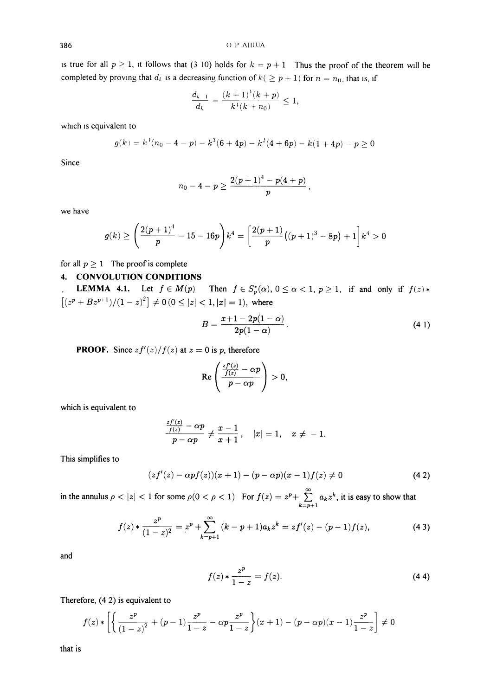is true for all  $p \ge 1$ , it follows that (3 10) holds for  $k = p + 1$  Thus the proof of the theorem will be completed by proving that  $d_k$  is a decreasing function of  $k( \geq p + 1)$  for  $n = n_0$ , that is, if

$$
\frac{d_{k-1}}{d_k} = \frac{(k+1)^1(k+p)}{k^1(k+n_0)} \le 1,
$$

which is equivalent to

$$
g(k) = k1(n0 - 4 - p) - k3(6 + 4p) - k2(4 + 6p) - k(1 + 4p) - p \ge 0
$$

Since

$$
n_0-4-p\geq \frac{2(p+1)^4-p(4+p)}{p}
$$

we have

$$
g(k) \ge \left(\frac{2(p+1)^4}{p} - 15 - 16p\right)k^4 = \left[\frac{2(p+1)}{p}\left((p+1)^3 - 8p\right) + 1\right]k^4 > 0
$$

# for all  $p \ge 1$  The proof is complete

## 4. CONVOLUTION CONDITIONS

**LEMMA 4.1.** Let  $f \in M(p)$  Then  $f \in S_p^*(\alpha)$ ,  $0 \leq \alpha < 1$ ,  $p \geq 1$ , if and only if  $f(z)$ .  $[(z^p + Bz^{p+1})/(1-z)^2] \neq 0 \ (0 \leq |z| < 1, |x| = 1)$ , where

$$
B = \frac{x+1-2p(1-\alpha)}{2p(1-\alpha)}.
$$
 (4.1)

**PROOF.** Since  $zf'(z)/f(z)$  at  $z = 0$  is p, therefore

$$
\operatorname{Re}\left(\frac{\frac{zf'(z)}{f(z)}-\alpha p}{p-\alpha p}\right)>0,
$$

which is equivalent to

$$
\frac{\frac{zf'(z)}{f(z)}-\alpha p}{p-\alpha p}\neq \frac{x-1}{x+1}, \quad |x|=1, \quad x\neq -1.
$$

This simplifies to

$$
(zf'(z) - \alpha pf(z))(x+1) - (p - \alpha p)(x-1)f(z) \neq 0
$$
\n(4.2)

in the annulus  $\rho < |z| < 1$  for some  $\rho(0 < \rho < 1)$  For  $f(z) = z^p + \sum_{k=p+1} a_k z^k$ , it is easy to show that

$$
f(z) * \frac{z^p}{(1-z)^2} = z^p + \sum_{k=p+1}^{\infty} (k-p+1)a_k z^k = zf'(z) - (p-1)f(z),
$$
 (4.3)

and

$$
f(z) * \frac{z^p}{1 - z} = f(z).
$$
 (4.4)

Therefore, (4 2) is equivalent to

$$
f(z) * \left[ \left\{ \frac{z^p}{(1-z)^2} + (p-1)\frac{z^p}{1-z} - \alpha p \frac{z^p}{1-z} \right\} (x+1) - (p-\alpha p)(x-1) \frac{z^p}{1-z} \right] \neq 0
$$

that is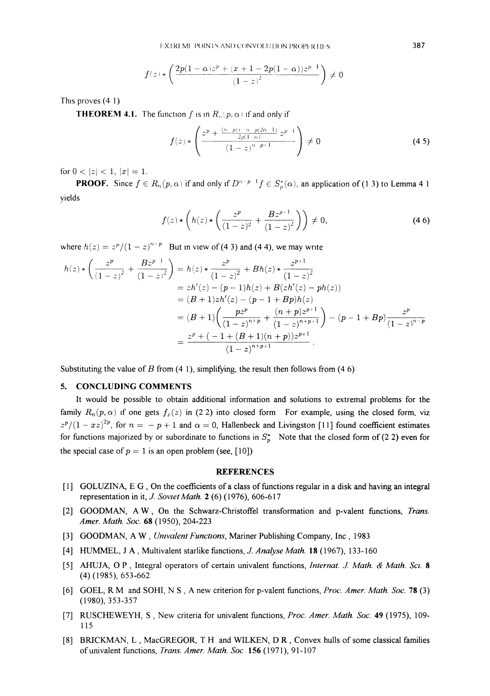$$
f(z)\ast\left(\frac{2p(1-\alpha)z^p+(x+1-2p(1-\alpha))z^{p-1}}{\left(1-z\right)^2}\right)\neq 0
$$

This proves (4-1)

**THEOREM 4.1.** The function f is in  $R_n(p, \alpha)$  if and only if

$$
f(z) * \left( \frac{z^p + \frac{(n-p)\,i - n - p(2\alpha - 1)}{2p(1 - \alpha)}}{(1 - z)^{n - p + 1}} z^{p - 1} \right) \neq 0
$$
\n(4.5)

for  $0 < |z| < 1, |x| = 1$ .

**PROOF.** Since  $f \in R_n(p, \alpha)$  if and only if  $D^{n+p-1} f \in S_p^{\star}(\alpha)$ , an application of (1 3) to Lemma 4 1 yields

$$
f(z) * \left( h(z) * \left( \frac{z^p}{(1-z)^2} + \frac{B z^{p+1}}{(1-z)^2} \right) \right) \neq 0,
$$
\n(46)

where  $h(z) = z^p/(1 - z)^{n+p}$  But in view of (4.3) and (4.4), we may write

$$
h(z) * \left(\frac{z^p}{(1-z)^2} + \frac{Bz^{p-1}}{(1-z)^2}\right) = h(z) * \frac{z^p}{(1-z)^2} + Bh(z) * \frac{z^{p+1}}{(1-z)^2}
$$
  
=  $zh'(z) - (p-1)h(z) + B(zh'(z) - ph(z))$   
=  $(B+1)zh'(z) - (p-1+Bp)h(z)$   
=  $(B+1)\left(\frac{pz^p}{(1-z)^{n+p}} + \frac{(n+p)z^{p+1}}{(1-z)^{n+p+1}}\right) - (p-1+Bp)\frac{z^p}{(1-z)^{n+p}}$   
=  $\frac{z^p + (-1 + (B+1)(n+p))z^{p+1}}{(1-z)^{n+p+1}}.$ 

Substituting the value of B from  $(4\ 1)$ , simplifying, the result then follows from  $(4\ 6)$ 

### 5. CONCLUDING COMMENTS

It would be possible to obtain additional information and solutions to extremal problems for the family  $R_n(p,\alpha)$  if one gets  $f_n(z)$  in (2.2) into closed form For example, using the closed form, viz  $z^p/(1-xz)^{2p}$ , for  $n = -p + 1$  and  $\alpha = 0$ , Hallenbeck and Livingston [11] found coefficient estimates for functions majorized by or subordinate to functions in  $S_p^*$  Note that the closed form of (22) even for the special case of  $p = 1$  is an open problem (see, [10])

#### **REFERENCES**

- [1] GOLUZINA, E G, On the coefficients of <sup>a</sup> class of functions regular in <sup>a</sup> disk and having an integral representation in it, J. Soviet Math.  $2(6)$  (1976), 606-617
- [2] GOODMAN, A W, On the Schwarz-Christoffel transformation and p-valent functions, Trans. Amer. Math. Soc. 68 (1950), 204-223
- [3] GOODMAN, A W, Univalent Functions, Mariner Publishing Company, Inc, 1983
- [4] HUMMEL, J A, Multivalent starlike functions, J. Analyse Math. 18 (1967), 133-160
- [5] AHUJA, O P, Integral operators of certain univalent functions, *Internat. J. Math. & Math. Sci.* 8 (4) (1985), 653-662
- [6] GOEL, R M and SOHI, N S, A new criterion for p-valent functions, Proc. Amer. Math. Soc. <sup>78</sup> (3) (1980), 353-357
- [7] RUSCHEWEYH, S, New criteria for univalent functions, Proc. Amer. Math. Soc. 49 (1975), 109-115
- [8] BRICKMAN, L, MacGREGOR, T H and WILKEN, D R, Convex hulls of some classical families of univalent functions, *Trans. Amer. Math. Soc* 156 (1971), 91-107